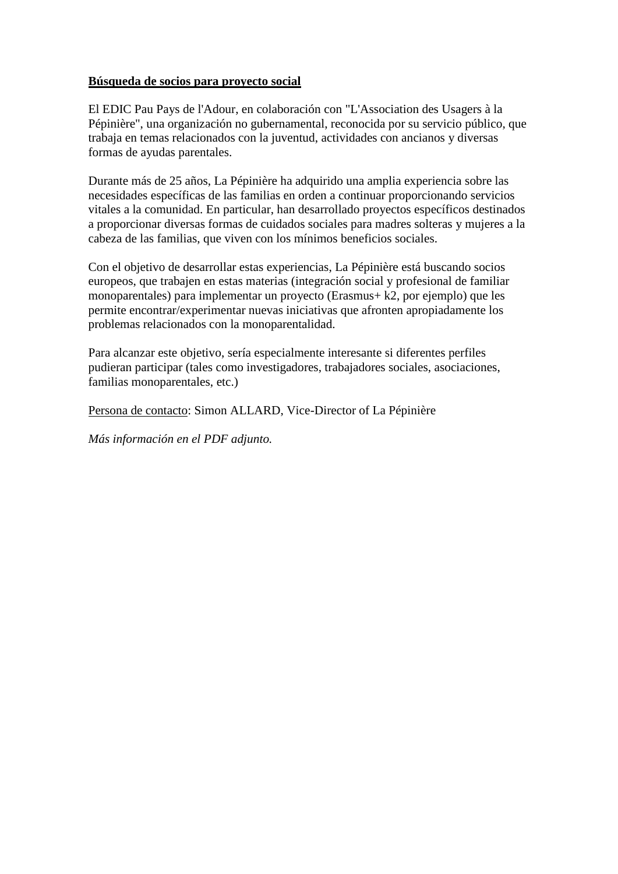#### **Búsqueda de socios para proyecto social**

El EDIC Pau Pays de l'Adour, en colaboración con "L'Association des Usagers à la Pépinière", una organización no gubernamental, reconocida por su servicio público, que trabaja en temas relacionados con la juventud, actividades con ancianos y diversas formas de ayudas parentales.

Durante más de 25 años, La Pépinière ha adquirido una amplia experiencia sobre las necesidades específicas de las familias en orden a continuar proporcionando servicios vitales a la comunidad. En particular, han desarrollado proyectos específicos destinados a proporcionar diversas formas de cuidados sociales para madres solteras y mujeres a la cabeza de las familias, que viven con los mínimos beneficios sociales.

Con el objetivo de desarrollar estas experiencias, La Pépinière está buscando socios europeos, que trabajen en estas materias (integración social y profesional de familiar monoparentales) para implementar un proyecto (Erasmus+ k2, por ejemplo) que les permite encontrar/experimentar nuevas iniciativas que afronten apropiadamente los problemas relacionados con la monoparentalidad.

Para alcanzar este objetivo, sería especialmente interesante si diferentes perfiles pudieran participar (tales como investigadores, trabajadores sociales, asociaciones, familias monoparentales, etc.)

Persona de contacto: Simon ALLARD, Vice-Director of La Pépinière

*Más información en el PDF adjunto.*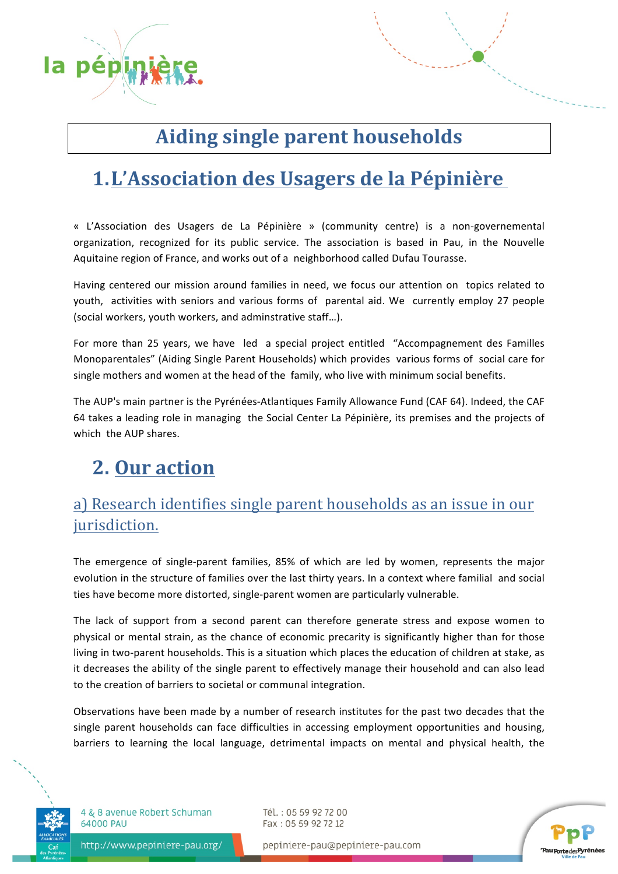

# **Aiding single parent households**

## **1.L'Association des Usagers de la Pépinière**

« L'Association des Usagers de La Pépinière » (community centre) is a non-governemental organization, recognized for its public service. The association is based in Pau, in the Nouvelle Aquitaine region of France, and works out of a neighborhood called Dufau Tourasse.

Having centered our mission around families in need, we focus our attention on topics related to youth, activities with seniors and various forms of parental aid. We currently employ 27 people (social workers, youth workers, and adminstrative staff...).

For more than 25 years, we have led a special project entitled "Accompagnement des Familles Monoparentales" (Aiding Single Parent Households) which provides various forms of social care for single mothers and women at the head of the family, who live with minimum social benefits.

The AUP's main partner is the Pyrénées-Atlantiques Family Allowance Fund (CAF 64). Indeed, the CAF 64 takes a leading role in managing the Social Center La Pépinière, its premises and the projects of which the AUP shares.

# **2. Our action**

#### a) Research identifies single parent households as an issue in our jurisdiction.

The emergence of single-parent families, 85% of which are led by women, represents the major evolution in the structure of families over the last thirty years. In a context where familial and social ties have become more distorted, single-parent women are particularly vulnerable.

The lack of support from a second parent can therefore generate stress and expose women to physical or mental strain, as the chance of economic precarity is significantly higher than for those living in two-parent households. This is a situation which places the education of children at stake, as it decreases the ability of the single parent to effectively manage their household and can also lead to the creation of barriers to societal or communal integration.

Observations have been made by a number of research institutes for the past two decades that the single parent households can face difficulties in accessing employment opportunities and housing, barriers to learning the local language, detrimental impacts on mental and physical health, the



4 & 8 avenue Robert Schuman 64000 PAU

Tél.: 05 59 92 72 00 Fax: 05 59 92 72 12



http://www.pepiniere-pau.org/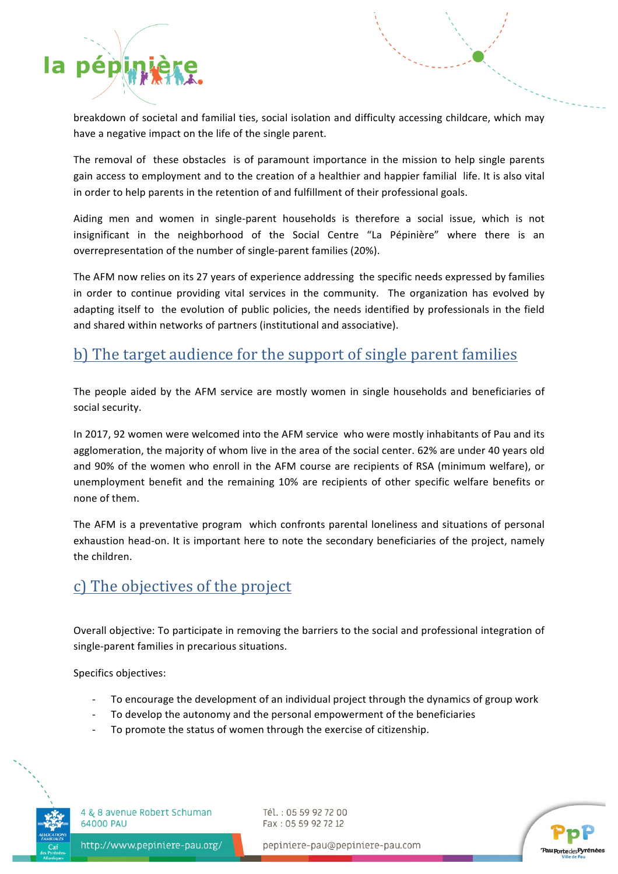

breakdown of societal and familial ties, social isolation and difficulty accessing childcare, which may have a negative impact on the life of the single parent.

The removal of these obstacles is of paramount importance in the mission to help single parents gain access to employment and to the creation of a healthier and happier familial life. It is also vital in order to help parents in the retention of and fulfillment of their professional goals.

Aiding men and women in single-parent households is therefore a social issue, which is not insignificant in the neighborhood of the Social Centre "La Pépinière" where there is an overrepresentation of the number of single-parent families (20%).

The AFM now relies on its 27 years of experience addressing the specific needs expressed by families in order to continue providing vital services in the community. The organization has evolved by adapting itself to the evolution of public policies, the needs identified by professionals in the field and shared within networks of partners (institutional and associative).

#### b) The target audience for the support of single parent families

The people aided by the AFM service are mostly women in single households and beneficiaries of social security.

In 2017, 92 women were welcomed into the AFM service who were mostly inhabitants of Pau and its agglomeration, the majority of whom live in the area of the social center. 62% are under 40 years old and 90% of the women who enroll in the AFM course are recipients of RSA (minimum welfare), or unemployment benefit and the remaining 10% are recipients of other specific welfare benefits or none of them.

The AFM is a preventative program which confronts parental loneliness and situations of personal exhaustion head-on. It is important here to note the secondary beneficiaries of the project, namely the children.

#### c) The objectives of the project

Overall objective: To participate in removing the barriers to the social and professional integration of single-parent families in precarious situations.

Specifics objectives:

- To encourage the development of an individual project through the dynamics of group work
- To develop the autonomy and the personal empowerment of the beneficiaries
- To promote the status of women through the exercise of citizenship.



4 & 8 avenue Robert Schuman 64000 PAU

Tél.: 05 59 92 72 00 Fax: 05 59 92 72 12



http://www.pepiniere-pau.org/